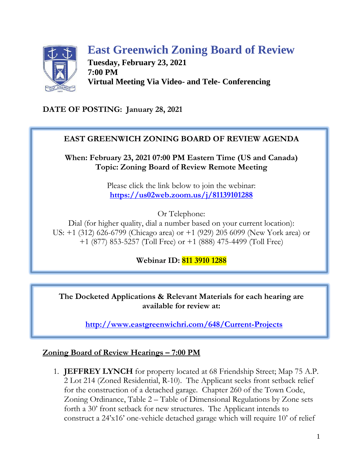

# **East Greenwich Zoning Board of Review**

**Tuesday, February 23, 2021 7:00 PM Virtual Meeting Via Video- and Tele- Conferencing**

**DATE OF POSTING: January 28, 2021**

### **EAST GREENWICH ZONING BOARD OF REVIEW AGENDA**

**When: February 23, 2021 07:00 PM Eastern Time (US and Canada) Topic: Zoning Board of Review Remote Meeting**

> Please click the link below to join the webinar: **<https://us02web.zoom.us/j/81139101288>**

> > Or Telephone:

Dial (for higher quality, dial a number based on your current location): US: +1 (312) 626-6799 (Chicago area) or +1 (929) 205 6099 (New York area) or +1 (877) 853-5257 (Toll Free) or +1 (888) 475-4499 (Toll Free)

**Webinar ID: 811 3910 1288**

**The Docketed Applications & Relevant Materials for each hearing are available for review at:**

**<http://www.eastgreenwichri.com/648/Current-Projects>**

#### **Zoning Board of Review Hearings – 7:00 PM**

1. **JEFFREY LYNCH** for property located at 68 Friendship Street; Map 75 A.P. 2 Lot 214 (Zoned Residential, R-10). The Applicant seeks front setback relief for the construction of a detached garage. Chapter 260 of the Town Code, Zoning Ordinance, Table 2 – Table of Dimensional Regulations by Zone sets forth a 30' front setback for new structures. The Applicant intends to construct a 24'x16' one-vehicle detached garage which will require 10' of relief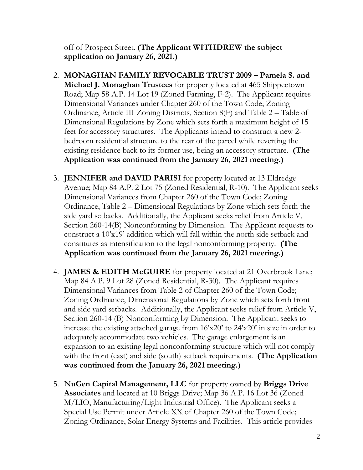off of Prospect Street. **(The Applicant WITHDREW the subject application on January 26, 2021.)**

- 2. **MONAGHAN FAMILY REVOCABLE TRUST 2009 – Pamela S. and Michael J. Monaghan Trustees** for property located at 465 Shippeetown Road; Map 58 A.P. 14 Lot 19 (Zoned Farming, F-2). The Applicant requires Dimensional Variances under Chapter 260 of the Town Code; Zoning Ordinance, Article III Zoning Districts, Section 8(F) and Table 2 – Table of Dimensional Regulations by Zone which sets forth a maximum height of 15 feet for accessory structures. The Applicants intend to construct a new 2 bedroom residential structure to the rear of the parcel while reverting the existing residence back to its former use, being an accessory structure. **(The Application was continued from the January 26, 2021 meeting.)**
- 3. **JENNIFER and DAVID PARISI** for property located at 13 Eldredge Avenue; Map 84 A.P. 2 Lot 75 (Zoned Residential, R-10). The Applicant seeks Dimensional Variances from Chapter 260 of the Town Code; Zoning Ordinance, Table 2 – Dimensional Regulations by Zone which sets forth the side yard setbacks. Additionally, the Applicant seeks relief from Article V, Section 260-14(B) Nonconforming by Dimension. The Applicant requests to construct a 10'x19' addition which will fall within the north side setback and constitutes as intensification to the legal nonconforming property. **(The Application was continued from the January 26, 2021 meeting.)**
- 4. **JAMES & EDITH McGUIRE** for property located at 21 Overbrook Lane; Map 84 A.P. 9 Lot 28 (Zoned Residential, R-30). The Applicant requires Dimensional Variances from Table 2 of Chapter 260 of the Town Code; Zoning Ordinance, Dimensional Regulations by Zone which sets forth front and side yard setbacks. Additionally, the Applicant seeks relief from Article V, Section 260-14 (B) Nonconforming by Dimension. The Applicant seeks to increase the existing attached garage from 16'x20' to 24'x20' in size in order to adequately accommodate two vehicles. The garage enlargement is an expansion to an existing legal nonconforming structure which will not comply with the front (east) and side (south) setback requirements. **(The Application was continued from the January 26, 2021 meeting.)**
- 5. **NuGen Capital Management, LLC** for property owned by **Briggs Drive Associates** and located at 10 Briggs Drive; Map 36 A.P. 16 Lot 36 (Zoned M/LIO, Manufacturing/Light Industrial Office). The Applicant seeks a Special Use Permit under Article XX of Chapter 260 of the Town Code; Zoning Ordinance, Solar Energy Systems and Facilities. This article provides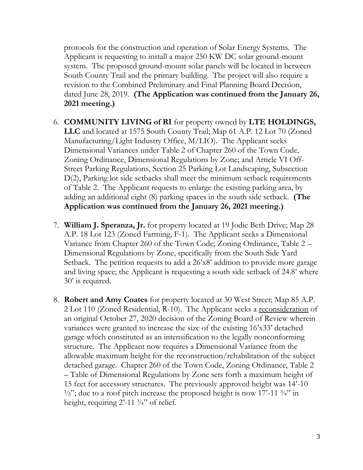protocols for the construction and operation of Solar Energy Systems. The Applicant is requesting to install a major 250 KW DC solar ground-mount system. The proposed ground-mount solar panels will be located in between South County Trail and the primary building. The project will also require a revision to the Combined Preliminary and Final Planning Board Decision, dated June 28, 2019. **(The Application was continued from the January 26, 2021 meeting.)**

- 6. **COMMUNITY LIVING of RI** for property owned by **LTE HOLDINGS, LLC** and located at 1575 South County Trail; Map 61 A.P. 12 Lot 70 (Zoned Manufacturing/Light Industry Office, M/LIO). The Applicant seeks Dimensional Variances under Table 2 of Chapter 260 of the Town Code, Zoning Ordinance, Dimensional Regulations by Zone; and Article VI Off-Street Parking Regulations, Section 25 Parking Lot Landscaping, Subsection D(2), Parking lot side setbacks shall meet the minimum setback requirements of Table 2. The Applicant requests to enlarge the existing parking area, by adding an additional eight (8) parking spaces in the south side setback. **(The Application was continued from the January 26, 2021 meeting.)**
- 7. **William J. Speranza, Jr.** for property located at 19 Jodie Beth Drive; Map 28 A.P. 18 Lot 123 (Zoned Farming, F-1). The Applicant seeks a Dimensional Variance from Chapter 260 of the Town Code; Zoning Ordinance, Table 2 – Dimensional Regulations by Zone, specifically from the South Side Yard Setback. The petition requests to add a 26'x8' addition to provide more garage and living space; the Applicant is requesting a south side setback of 24.8' where 30' is required.
- 8. **Robert and Amy Coates** for property located at 30 West Street; Map 85 A.P. 2 Lot 110 (Zoned Residential, R-10). The Applicant seeks a reconsideration of an original October 27, 2020 decision of the Zoning Board of Review wherein variances were granted to increase the size of the existing 16'x33' detached garage which constituted as an intensification to the legally nonconforming structure. The Applicant now requires a Dimensional Variance from the allowable maximum height for the reconstruction/rehabilitation of the subject detached garage. Chapter 260 of the Town Code, Zoning Ordinance, Table 2 – Table of Dimensional Regulations by Zone sets forth a maximum height of 15 feet for accessory structures. The previously approved height was 14'-10  $\frac{1}{2}$ "; due to a roof pitch increase the proposed height is now 17'-11  $\frac{3}{4}$ " in height, requiring  $2^{\prime}$ -11  $\frac{3}{4}$ " of relief.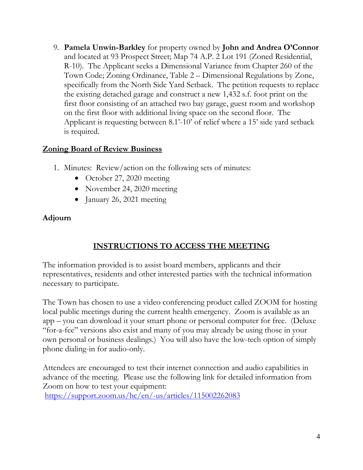9. **Pamela Unwin-Barkley** for property owned by **John and Andrea O'Connor** and located at 93 Prospect Street; Map 74 A.P. 2 Lot 191 (Zoned Residential, R-10). The Applicant seeks a Dimensional Variance from Chapter 260 of the Town Code; Zoning Ordinance, Table 2 – Dimensional Regulations by Zone, specifically from the North Side Yard Setback. The petition requests to replace the existing detached garage and construct a new 1,432 s.f. foot print on the first floor consisting of an attached two bay garage, guest room and workshop on the first floor with additional living space on the second floor. The Applicant is requesting between 8.1'-10' of relief where a 15' side yard setback is required.

#### **Zoning Board of Review Business**

- 1. Minutes: Review/action on the following sets of minutes:
	- October 27, 2020 meeting
	- November 24, 2020 meeting
	- January 26, 2021 meeting

### **Adjourn**

## **INSTRUCTIONS TO ACCESS THE MEETING**

The information provided is to assist board members, applicants and their representatives, residents and other interested parties with the technical information necessary to participate.

The Town has chosen to use a video conferencing product called ZOOM for hosting local public meetings during the current health emergency. Zoom is available as an app – you can download it your smart phone or personal computer for free. (Deluxe "for-a-fee" versions also exist and many of you may already be using those in your own personal or business dealings.) You will also have the low-tech option of simply phone dialing-in for audio-only.

Attendees are encouraged to test their internet connection and audio capabilities in advance of the meeting. Please use the following link for detailed information from Zoom on how to test your equipment:

<https://support.zoom.us/hc/en/-us/articles/115002262083>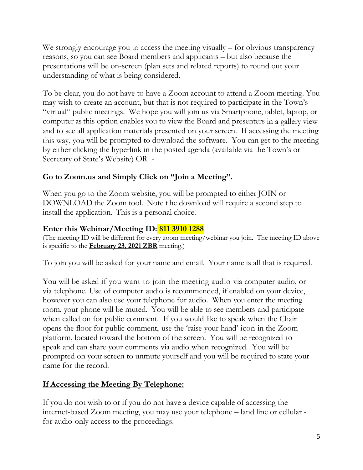We strongly encourage you to access the meeting visually – for obvious transparency reasons, so you can see Board members and applicants – but also because the presentations will be on-screen (plan sets and related reports) to round out your understanding of what is being considered.

To be clear, you do not have to have a Zoom account to attend a Zoom meeting. You may wish to create an account, but that is not required to participate in the Town's "virtual" public meetings. We hope you will join us via Smartphone, tablet, laptop, or computer as this option enables you to view the Board and presenters in a gallery view and to see all application materials presented on your screen. If accessing the meeting this way, you will be prompted to download the software. You can get to the meeting by either clicking the hyperlink in the posted agenda (available via the Town's or Secretary of State's Website) OR -

### **Go to Zoom.us and Simply Click on "Join a Meeting".**

When you go to the Zoom website, you will be prompted to either JOIN or DOWNLOAD the Zoom tool. Note t he download will require a second step to install the application. This is a personal choice.

### **Enter this Webinar/Meeting ID: 811 3910 1288**

(The meeting ID will be different for every zoom meeting/webinar you join. The meeting ID above is specific to the **February 23, 2021 ZBR** meeting.)

To join you will be asked for your name and email. Your name is all that is required.

You will be asked if you want to join the meeting audio via computer audio, or via telephone. Use of computer audio is recommended, if enabled on your device, however you can also use your telephone for audio. When you enter the meeting room, your phone will be muted. You will be able to see members and participate when called on for public comment. If you would like to speak when the Chair opens the floor for public comment, use the 'raise your hand' icon in the Zoom platform, located toward the bottom of the screen. You will be recognized to speak and can share your comments via audio when recognized. You will be prompted on your screen to unmute yourself and you will be required to state your name for the record.

## **If Accessing the Meeting By Telephone:**

If you do not wish to or if you do not have a device capable of accessing the internet-based Zoom meeting, you may use your telephone – land line or cellular for audio-only access to the proceedings.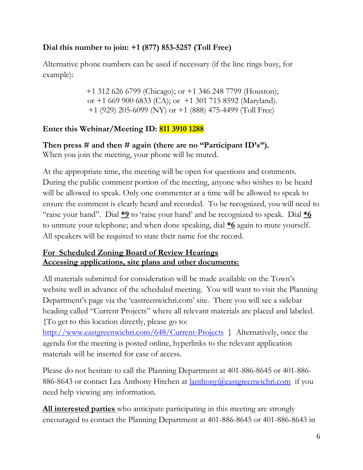## **Dial this number to join: +1 (877) 853-5257 (Toll Free)**

Alternative phone numbers can be used if necessary (if the line rings busy, for example):

> +1 312 626 6799 (Chicago); or +1 346 248 7799 (Houston); or  $+1$  669 900 6833 (CA); or  $+1$  301 715 8592 (Maryland). +1 (929) 205-6099 (NY) or +1 (888) 475-4499 (Toll Free)

## **Enter this Webinar/Meeting ID: 811 3910 1288**

**Then press # and then # again (there are no "Participant ID's").** When you join the meeting, your phone will be muted.

At the appropriate time, the meeting will be open for questions and comments. During the public comment portion of the meeting, anyone who wishes to be heard will be allowed to speak. Only one commenter at a time will be allowed to speak to ensure the comment is clearly heard and recorded. To be recognized, you will need to "raise your hand". Dial **\*9** to 'raise your hand' and be recognized to speak. Dial **\*6** to unmute your telephone; and when done speaking, dial **\*6** again to mute yourself. All speakers will be required to state their name for the record.

### **For Scheduled Zoning Board of Review Hearings Accessing applications, site plans and other documents:**

All materials submitted for consideration will be made available on the Town's website well in advance of the scheduled meeting. You will want to visit the Planning Department's page via the 'eastreenwichri.com' site. There you will see a sidebar heading called "Current Projects" where all relevant materials are placed and labeled. {To get to this location directly, please go to:

<http://www.eastgreenwichri.com/648/Current-Projects>} Alternatively, once the agenda for the meeting is posted online, hyperlinks to the relevant application materials will be inserted for ease of access.

Please do not hesitate to call the Planning Department at 401-886-8645 or 401-886- 886-8643 or contact Lea Anthony Hitchen at <u>lanthony@eastgreenwichri.com</u> if you need help viewing any information.

**All interested parties** who anticipate participating in this meeting are strongly encouraged to contact the Planning Department at 401-886-8645 or 401-886-8643 in